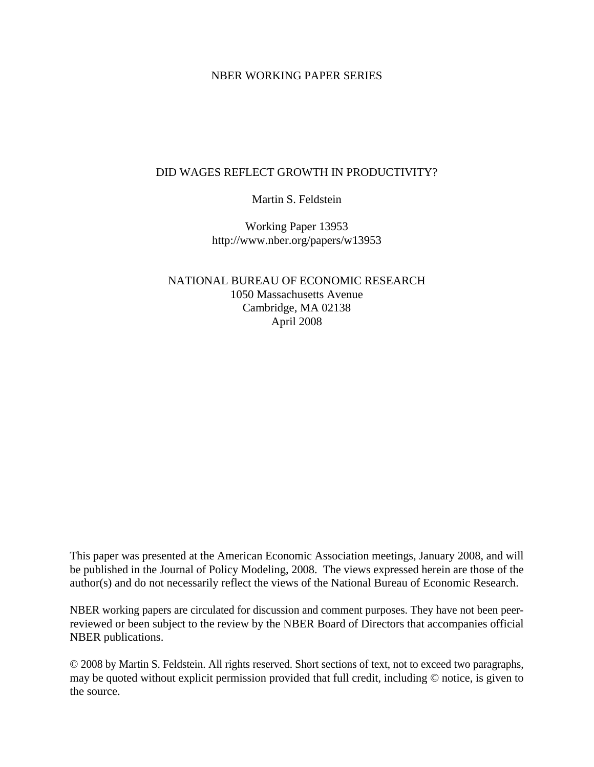## NBER WORKING PAPER SERIES

## DID WAGES REFLECT GROWTH IN PRODUCTIVITY?

Martin S. Feldstein

Working Paper 13953 http://www.nber.org/papers/w13953

NATIONAL BUREAU OF ECONOMIC RESEARCH 1050 Massachusetts Avenue Cambridge, MA 02138 April 2008

This paper was presented at the American Economic Association meetings, January 2008, and will be published in the Journal of Policy Modeling, 2008. The views expressed herein are those of the author(s) and do not necessarily reflect the views of the National Bureau of Economic Research.

NBER working papers are circulated for discussion and comment purposes. They have not been peerreviewed or been subject to the review by the NBER Board of Directors that accompanies official NBER publications.

© 2008 by Martin S. Feldstein. All rights reserved. Short sections of text, not to exceed two paragraphs, may be quoted without explicit permission provided that full credit, including © notice, is given to the source.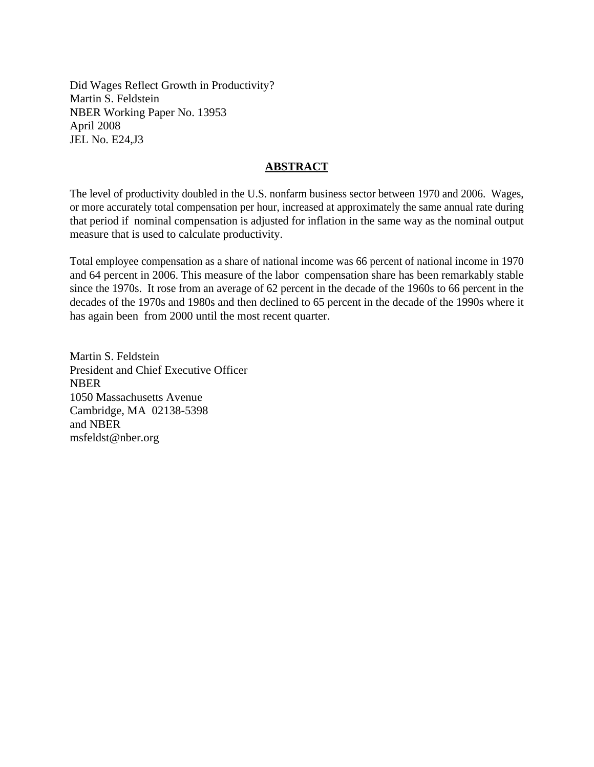Did Wages Reflect Growth in Productivity? Martin S. Feldstein NBER Working Paper No. 13953 April 2008 JEL No. E24,J3

## **ABSTRACT**

The level of productivity doubled in the U.S. nonfarm business sector between 1970 and 2006. Wages, or more accurately total compensation per hour, increased at approximately the same annual rate during that period if nominal compensation is adjusted for inflation in the same way as the nominal output measure that is used to calculate productivity.

Total employee compensation as a share of national income was 66 percent of national income in 1970 and 64 percent in 2006. This measure of the labor compensation share has been remarkably stable since the 1970s. It rose from an average of 62 percent in the decade of the 1960s to 66 percent in the decades of the 1970s and 1980s and then declined to 65 percent in the decade of the 1990s where it has again been from 2000 until the most recent quarter.

Martin S. Feldstein President and Chief Executive Officer **NBER** 1050 Massachusetts Avenue Cambridge, MA 02138-5398 and NBER msfeldst@nber.org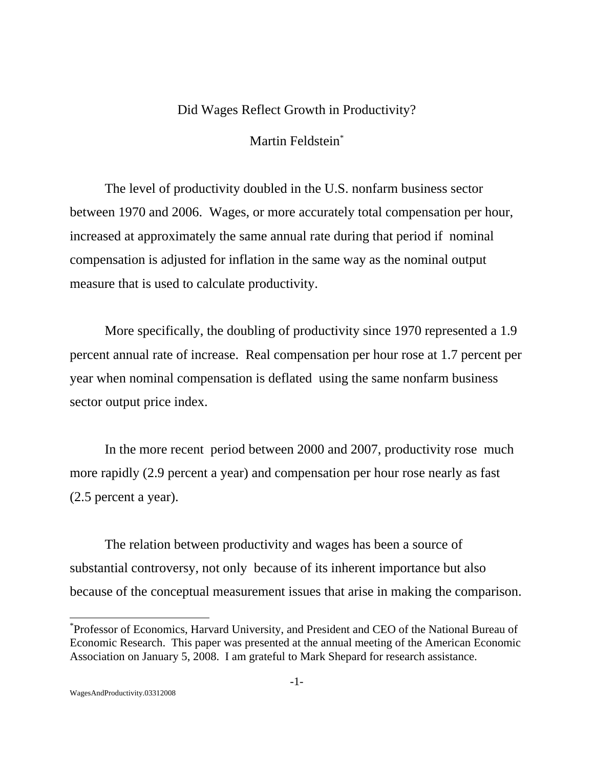## Did Wages Reflect Growth in Productivity?

Martin Feldstein<sup>\*</sup>

 The level of productivity doubled in the U.S. nonfarm business sector between 1970 and 2006. Wages, or more accurately total compensation per hour, increased at approximately the same annual rate during that period if nominal compensation is adjusted for inflation in the same way as the nominal output measure that is used to calculate productivity.

 More specifically, the doubling of productivity since 1970 represented a 1.9 percent annual rate of increase. Real compensation per hour rose at 1.7 percent per year when nominal compensation is deflated using the same nonfarm business sector output price index.

 In the more recent period between 2000 and 2007, productivity rose much more rapidly (2.9 percent a year) and compensation per hour rose nearly as fast (2.5 percent a year).

 The relation between productivity and wages has been a source of substantial controversy, not only because of its inherent importance but also because of the conceptual measurement issues that arise in making the comparison.

 $\overline{a}$ 

<sup>\*</sup> Professor of Economics, Harvard University, and President and CEO of the National Bureau of Economic Research. This paper was presented at the annual meeting of the American Economic Association on January 5, 2008. I am grateful to Mark Shepard for research assistance.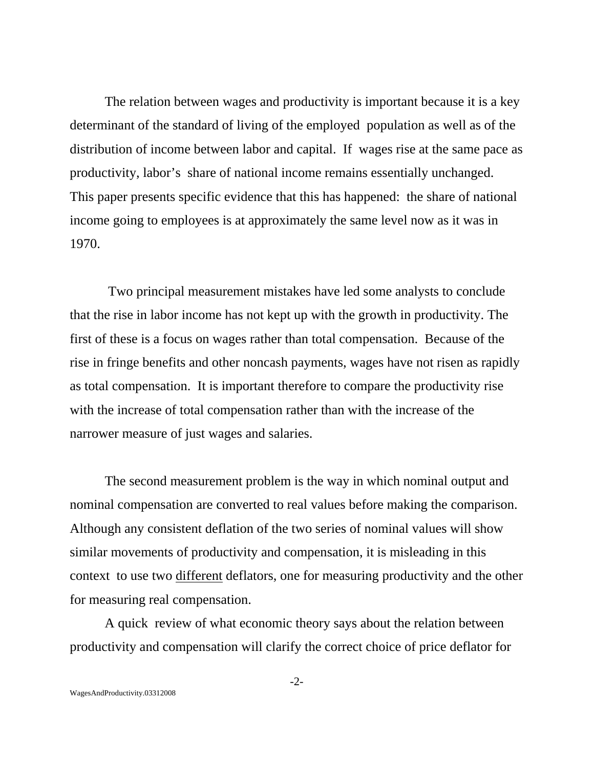The relation between wages and productivity is important because it is a key determinant of the standard of living of the employed population as well as of the distribution of income between labor and capital. If wages rise at the same pace as productivity, labor's share of national income remains essentially unchanged. This paper presents specific evidence that this has happened: the share of national income going to employees is at approximately the same level now as it was in 1970.

 Two principal measurement mistakes have led some analysts to conclude that the rise in labor income has not kept up with the growth in productivity. The first of these is a focus on wages rather than total compensation. Because of the rise in fringe benefits and other noncash payments, wages have not risen as rapidly as total compensation. It is important therefore to compare the productivity rise with the increase of total compensation rather than with the increase of the narrower measure of just wages and salaries.

 The second measurement problem is the way in which nominal output and nominal compensation are converted to real values before making the comparison. Although any consistent deflation of the two series of nominal values will show similar movements of productivity and compensation, it is misleading in this context to use two different deflators, one for measuring productivity and the other for measuring real compensation.

 A quick review of what economic theory says about the relation between productivity and compensation will clarify the correct choice of price deflator for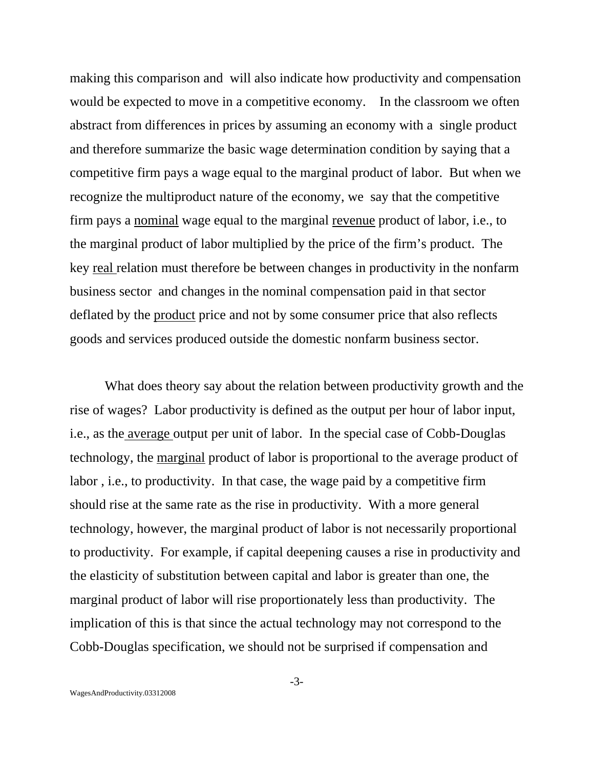making this comparison and will also indicate how productivity and compensation would be expected to move in a competitive economy. In the classroom we often abstract from differences in prices by assuming an economy with a single product and therefore summarize the basic wage determination condition by saying that a competitive firm pays a wage equal to the marginal product of labor. But when we recognize the multiproduct nature of the economy, we say that the competitive firm pays a nominal wage equal to the marginal revenue product of labor, i.e., to the marginal product of labor multiplied by the price of the firm's product. The key real relation must therefore be between changes in productivity in the nonfarm business sector and changes in the nominal compensation paid in that sector deflated by the product price and not by some consumer price that also reflects goods and services produced outside the domestic nonfarm business sector.

 What does theory say about the relation between productivity growth and the rise of wages? Labor productivity is defined as the output per hour of labor input, i.e., as the average output per unit of labor. In the special case of Cobb-Douglas technology, the marginal product of labor is proportional to the average product of labor , i.e., to productivity. In that case, the wage paid by a competitive firm should rise at the same rate as the rise in productivity. With a more general technology, however, the marginal product of labor is not necessarily proportional to productivity. For example, if capital deepening causes a rise in productivity and the elasticity of substitution between capital and labor is greater than one, the marginal product of labor will rise proportionately less than productivity. The implication of this is that since the actual technology may not correspond to the Cobb-Douglas specification, we should not be surprised if compensation and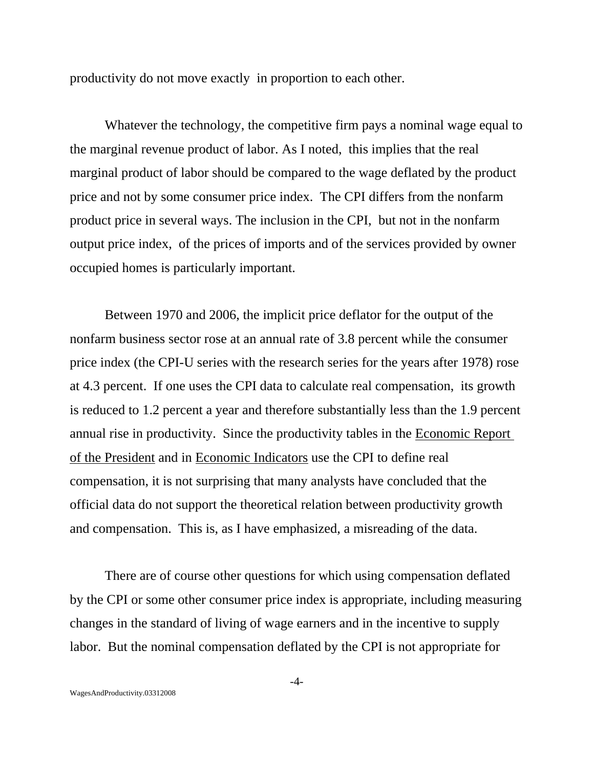productivity do not move exactly in proportion to each other.

 Whatever the technology, the competitive firm pays a nominal wage equal to the marginal revenue product of labor. As I noted, this implies that the real marginal product of labor should be compared to the wage deflated by the product price and not by some consumer price index. The CPI differs from the nonfarm product price in several ways. The inclusion in the CPI, but not in the nonfarm output price index, of the prices of imports and of the services provided by owner occupied homes is particularly important.

 Between 1970 and 2006, the implicit price deflator for the output of the nonfarm business sector rose at an annual rate of 3.8 percent while the consumer price index (the CPI-U series with the research series for the years after 1978) rose at 4.3 percent. If one uses the CPI data to calculate real compensation, its growth is reduced to 1.2 percent a year and therefore substantially less than the 1.9 percent annual rise in productivity. Since the productivity tables in the Economic Report of the President and in Economic Indicators use the CPI to define real compensation, it is not surprising that many analysts have concluded that the official data do not support the theoretical relation between productivity growth and compensation. This is, as I have emphasized, a misreading of the data.

 There are of course other questions for which using compensation deflated by the CPI or some other consumer price index is appropriate, including measuring changes in the standard of living of wage earners and in the incentive to supply labor. But the nominal compensation deflated by the CPI is not appropriate for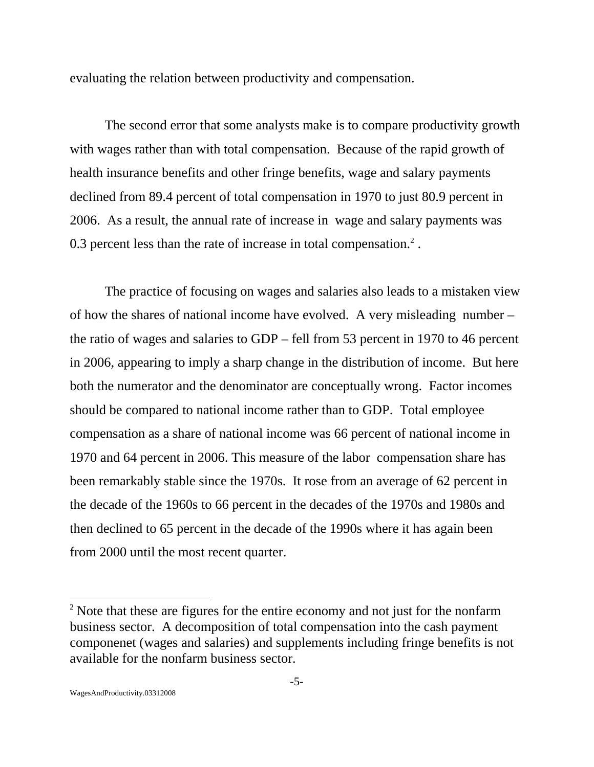evaluating the relation between productivity and compensation.

 The second error that some analysts make is to compare productivity growth with wages rather than with total compensation. Because of the rapid growth of health insurance benefits and other fringe benefits, wage and salary payments declined from 89.4 percent of total compensation in 1970 to just 80.9 percent in 2006. As a result, the annual rate of increase in wage and salary payments was 0.3 percent less than the rate of increase in total compensation. $2$ .

 The practice of focusing on wages and salaries also leads to a mistaken view of how the shares of national income have evolved. A very misleading number – the ratio of wages and salaries to GDP – fell from 53 percent in 1970 to 46 percent in 2006, appearing to imply a sharp change in the distribution of income. But here both the numerator and the denominator are conceptually wrong. Factor incomes should be compared to national income rather than to GDP. Total employee compensation as a share of national income was 66 percent of national income in 1970 and 64 percent in 2006. This measure of the labor compensation share has been remarkably stable since the 1970s. It rose from an average of 62 percent in the decade of the 1960s to 66 percent in the decades of the 1970s and 1980s and then declined to 65 percent in the decade of the 1990s where it has again been from 2000 until the most recent quarter.

 $\overline{\phantom{a}}$ 

<sup>&</sup>lt;sup>2</sup> Note that these are figures for the entire economy and not just for the nonfarm business sector. A decomposition of total compensation into the cash payment componenet (wages and salaries) and supplements including fringe benefits is not available for the nonfarm business sector.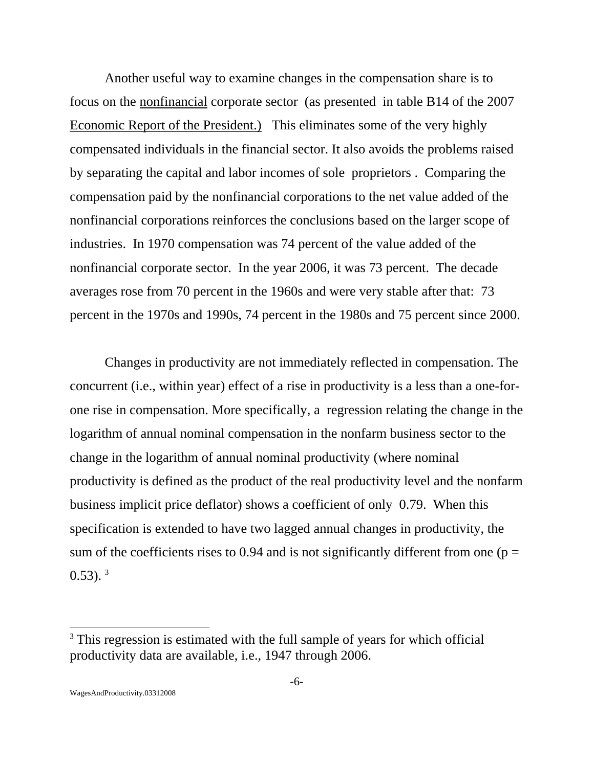Another useful way to examine changes in the compensation share is to focus on the nonfinancial corporate sector (as presented in table B14 of the 2007 Economic Report of the President.) This eliminates some of the very highly compensated individuals in the financial sector. It also avoids the problems raised by separating the capital and labor incomes of sole proprietors . Comparing the compensation paid by the nonfinancial corporations to the net value added of the nonfinancial corporations reinforces the conclusions based on the larger scope of industries. In 1970 compensation was 74 percent of the value added of the nonfinancial corporate sector. In the year 2006, it was 73 percent. The decade averages rose from 70 percent in the 1960s and were very stable after that: 73 percent in the 1970s and 1990s, 74 percent in the 1980s and 75 percent since 2000.

 Changes in productivity are not immediately reflected in compensation. The concurrent (i.e., within year) effect of a rise in productivity is a less than a one-forone rise in compensation. More specifically, a regression relating the change in the logarithm of annual nominal compensation in the nonfarm business sector to the change in the logarithm of annual nominal productivity (where nominal productivity is defined as the product of the real productivity level and the nonfarm business implicit price deflator) shows a coefficient of only 0.79. When this specification is extended to have two lagged annual changes in productivity, the sum of the coefficients rises to 0.94 and is not significantly different from one ( $p =$  $(0.53)$ .  $3$ 

 $\overline{\phantom{a}}$ 

<sup>&</sup>lt;sup>3</sup> This regression is estimated with the full sample of years for which official productivity data are available, i.e., 1947 through 2006.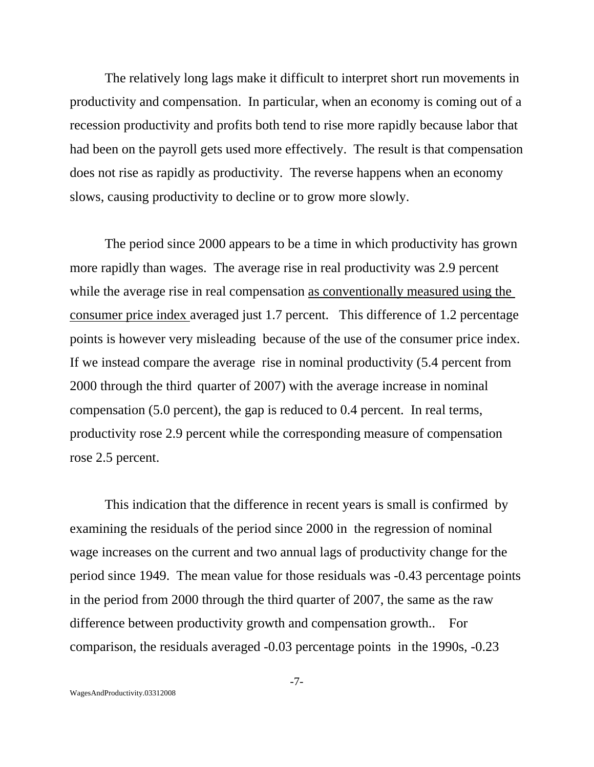The relatively long lags make it difficult to interpret short run movements in productivity and compensation. In particular, when an economy is coming out of a recession productivity and profits both tend to rise more rapidly because labor that had been on the payroll gets used more effectively. The result is that compensation does not rise as rapidly as productivity. The reverse happens when an economy slows, causing productivity to decline or to grow more slowly.

 The period since 2000 appears to be a time in which productivity has grown more rapidly than wages. The average rise in real productivity was 2.9 percent while the average rise in real compensation as conventionally measured using the consumer price index averaged just 1.7 percent. This difference of 1.2 percentage points is however very misleading because of the use of the consumer price index. If we instead compare the average rise in nominal productivity (5.4 percent from 2000 through the third quarter of 2007) with the average increase in nominal compensation (5.0 percent), the gap is reduced to 0.4 percent. In real terms, productivity rose 2.9 percent while the corresponding measure of compensation rose 2.5 percent.

 This indication that the difference in recent years is small is confirmed by examining the residuals of the period since 2000 in the regression of nominal wage increases on the current and two annual lags of productivity change for the period since 1949. The mean value for those residuals was -0.43 percentage points in the period from 2000 through the third quarter of 2007, the same as the raw difference between productivity growth and compensation growth.. For comparison, the residuals averaged -0.03 percentage points in the 1990s, -0.23

-7-